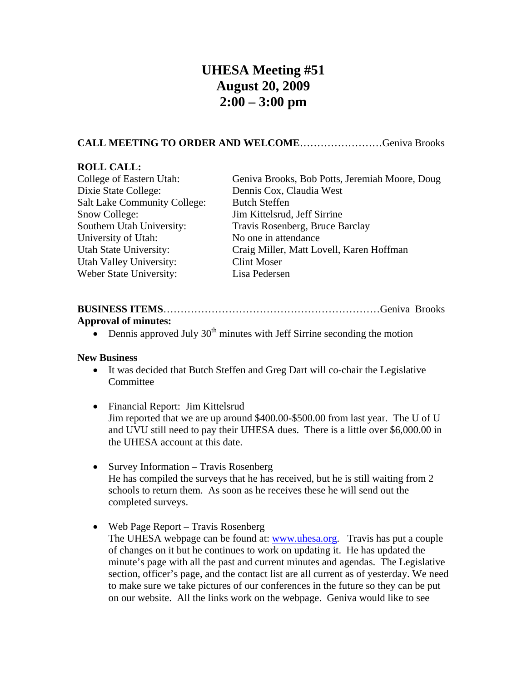# **UHESA Meeting #51 August 20, 2009 2:00 – 3:00 pm**

### **CALL MEETING TO ORDER AND WELCOME**……………………Geniva Brooks

#### **ROLL CALL:**

| College of Eastern Utah:            | Geniva Brooks, Bob Potts, Jeremiah Moore, Doug |
|-------------------------------------|------------------------------------------------|
| Dixie State College:                | Dennis Cox, Claudia West                       |
| <b>Salt Lake Community College:</b> | <b>Butch Steffen</b>                           |
| Snow College:                       | Jim Kittelsrud, Jeff Sirrine                   |
| Southern Utah University:           | Travis Rosenberg, Bruce Barclay                |
| University of Utah:                 | No one in attendance                           |
| Utah State University:              | Craig Miller, Matt Lovell, Karen Hoffman       |
| Utah Valley University:             | <b>Clint Moser</b>                             |
| Weber State University:             | Lisa Pedersen                                  |
|                                     |                                                |

## **BUSINESS ITEMS**………………………………………………………Geniva Brooks **Approval of minutes:**

• Dennis approved July  $30<sup>th</sup>$  minutes with Jeff Sirrine seconding the motion

#### **New Business**

- It was decided that Butch Steffen and Greg Dart will co-chair the Legislative Committee
- Financial Report: Jim Kittelsrud Jim reported that we are up around \$400.00-\$500.00 from last year. The U of U and UVU still need to pay their UHESA dues. There is a little over \$6,000.00 in the UHESA account at this date.
- Survey Information Travis Rosenberg He has compiled the surveys that he has received, but he is still waiting from 2 schools to return them. As soon as he receives these he will send out the completed surveys.
- Web Page Report Travis Rosenberg The UHESA webpage can be found at: [www.uhesa.org.](http://www.uhesa.org/) Travis has put a couple of changes on it but he continues to work on updating it. He has updated the minute's page with all the past and current minutes and agendas. The Legislative section, officer's page, and the contact list are all current as of yesterday. We need to make sure we take pictures of our conferences in the future so they can be put on our website. All the links work on the webpage. Geniva would like to see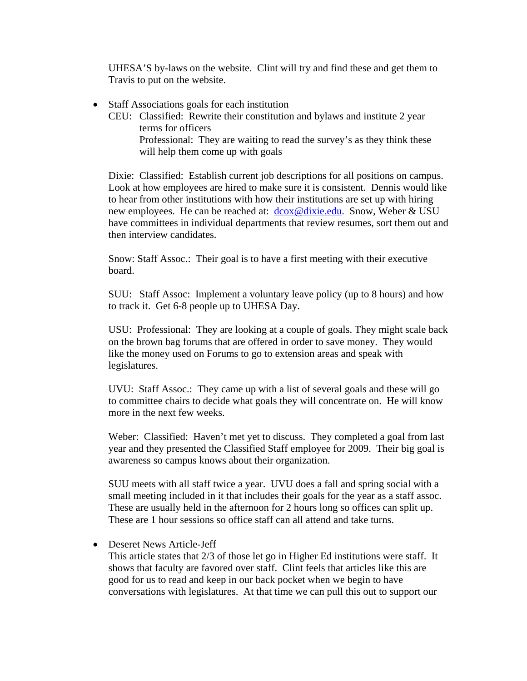UHESA'S by-laws on the website. Clint will try and find these and get them to Travis to put on the website.

- Staff Associations goals for each institution
	- CEU: Classified: Rewrite their constitution and bylaws and institute 2 year terms for officers Professional: They are waiting to read the survey's as they think these will help them come up with goals

Dixie: Classified: Establish current job descriptions for all positions on campus. Look at how employees are hired to make sure it is consistent. Dennis would like to hear from other institutions with how their institutions are set up with hiring new employees. He can be reached at:  $d\cos\omega/di\sin\omega$ . Snow, Weber & USU have committees in individual departments that review resumes, sort them out and then interview candidates.

Snow: Staff Assoc.: Their goal is to have a first meeting with their executive board.

SUU: Staff Assoc: Implement a voluntary leave policy (up to 8 hours) and how to track it. Get 6-8 people up to UHESA Day.

USU: Professional: They are looking at a couple of goals. They might scale back on the brown bag forums that are offered in order to save money. They would like the money used on Forums to go to extension areas and speak with legislatures.

UVU: Staff Assoc.: They came up with a list of several goals and these will go to committee chairs to decide what goals they will concentrate on. He will know more in the next few weeks.

Weber: Classified: Haven't met yet to discuss. They completed a goal from last year and they presented the Classified Staff employee for 2009. Their big goal is awareness so campus knows about their organization.

SUU meets with all staff twice a year. UVU does a fall and spring social with a small meeting included in it that includes their goals for the year as a staff assoc. These are usually held in the afternoon for 2 hours long so offices can split up. These are 1 hour sessions so office staff can all attend and take turns.

• Deseret News Article-Jeff

This article states that 2/3 of those let go in Higher Ed institutions were staff. It shows that faculty are favored over staff. Clint feels that articles like this are good for us to read and keep in our back pocket when we begin to have conversations with legislatures. At that time we can pull this out to support our